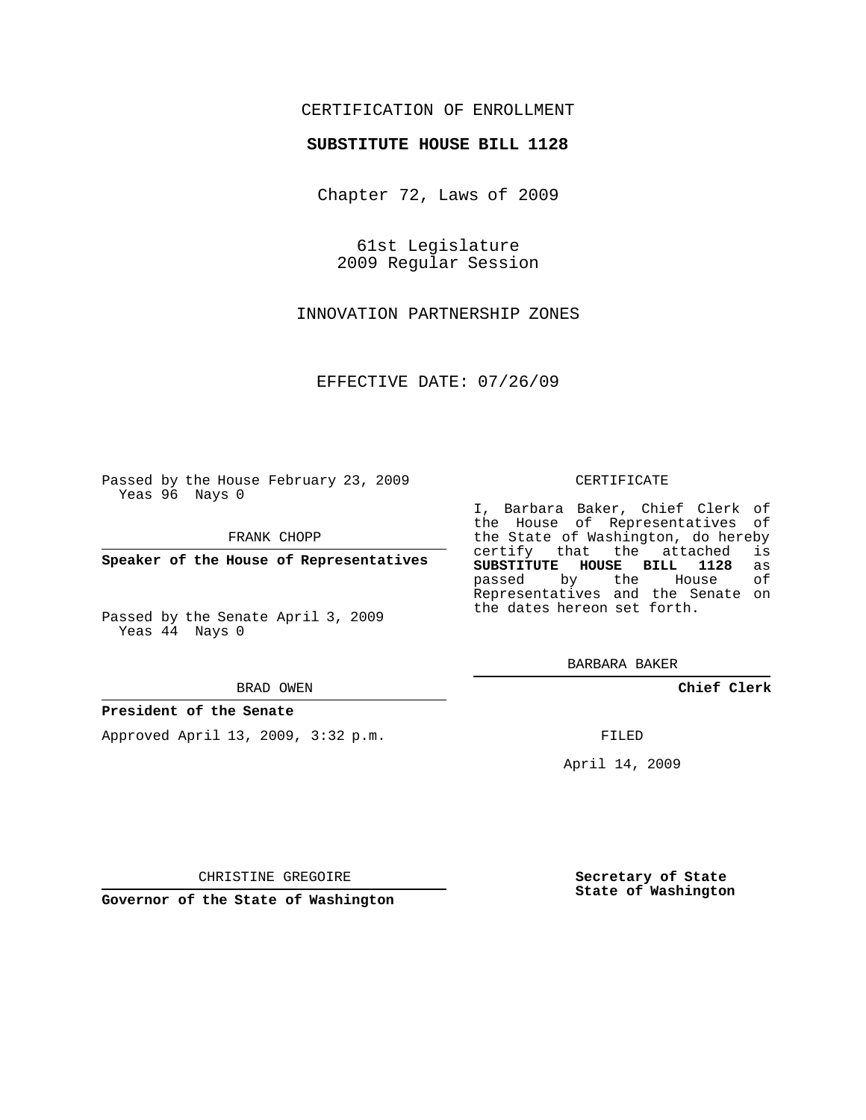# CERTIFICATION OF ENROLLMENT

### **SUBSTITUTE HOUSE BILL 1128**

Chapter 72, Laws of 2009

61st Legislature 2009 Regular Session

INNOVATION PARTNERSHIP ZONES

EFFECTIVE DATE: 07/26/09

Passed by the House February 23, 2009 Yeas 96 Nays 0

FRANK CHOPP

**Speaker of the House of Representatives**

Passed by the Senate April 3, 2009 Yeas 44 Nays 0

#### BRAD OWEN

#### **President of the Senate**

Approved April 13, 2009, 3:32 p.m.

#### CERTIFICATE

I, Barbara Baker, Chief Clerk of the House of Representatives of the State of Washington, do hereby<br>certify that the attached is certify that the attached **SUBSTITUTE HOUSE BILL 1128** as passed by the House of Representatives and the Senate on the dates hereon set forth.

BARBARA BAKER

**Chief Clerk**

FILED

April 14, 2009

**Secretary of State State of Washington**

CHRISTINE GREGOIRE

**Governor of the State of Washington**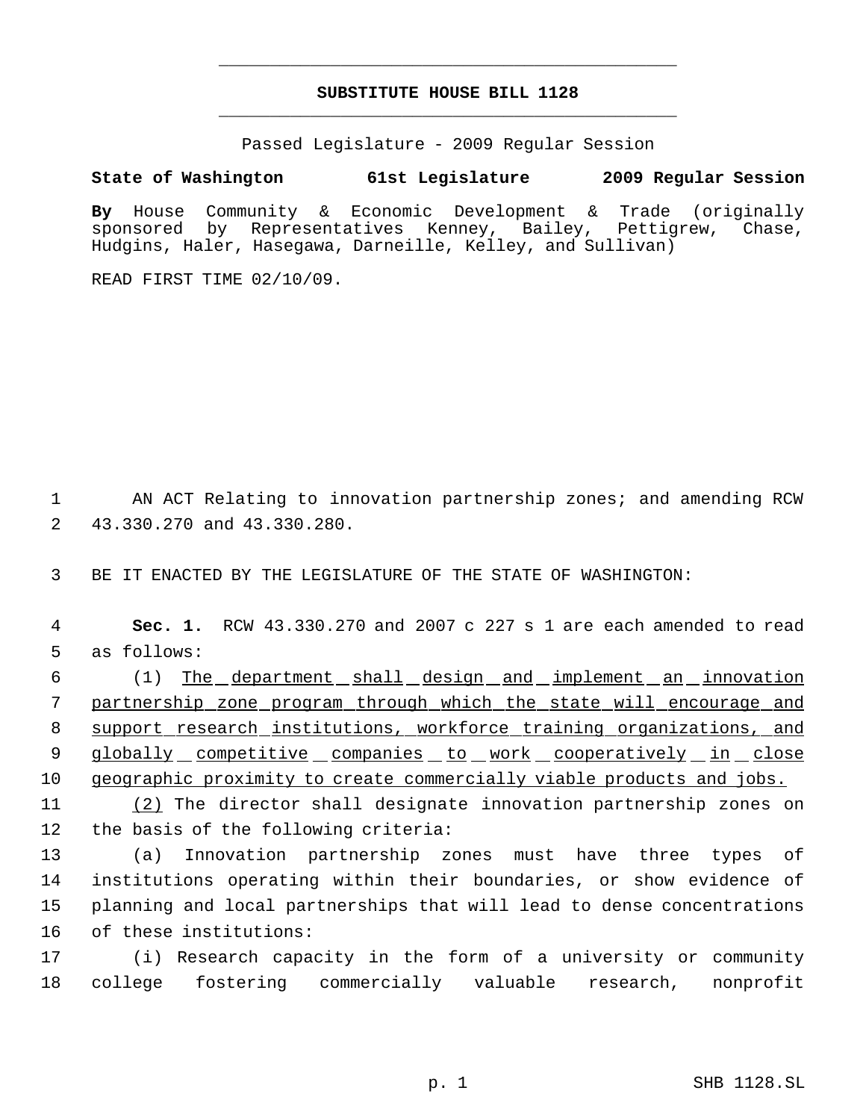# **SUBSTITUTE HOUSE BILL 1128** \_\_\_\_\_\_\_\_\_\_\_\_\_\_\_\_\_\_\_\_\_\_\_\_\_\_\_\_\_\_\_\_\_\_\_\_\_\_\_\_\_\_\_\_\_

\_\_\_\_\_\_\_\_\_\_\_\_\_\_\_\_\_\_\_\_\_\_\_\_\_\_\_\_\_\_\_\_\_\_\_\_\_\_\_\_\_\_\_\_\_

Passed Legislature - 2009 Regular Session

## **State of Washington 61st Legislature 2009 Regular Session**

**By** House Community & Economic Development & Trade (originally sponsored by Representatives Kenney, Bailey, Pettigrew, Hudgins, Haler, Hasegawa, Darneille, Kelley, and Sullivan)

READ FIRST TIME 02/10/09.

 AN ACT Relating to innovation partnership zones; and amending RCW 43.330.270 and 43.330.280.

BE IT ENACTED BY THE LEGISLATURE OF THE STATE OF WASHINGTON:

 **Sec. 1.** RCW 43.330.270 and 2007 c 227 s 1 are each amended to read as follows:

 (1) The department shall design and implement an innovation partnership zone program through which the state will encourage and support research institutions, workforce training organizations, and 9 globally competitive companies to work cooperatively in close geographic proximity to create commercially viable products and jobs.

 (2) The director shall designate innovation partnership zones on the basis of the following criteria:

 (a) Innovation partnership zones must have three types of institutions operating within their boundaries, or show evidence of planning and local partnerships that will lead to dense concentrations of these institutions:

 (i) Research capacity in the form of a university or community college fostering commercially valuable research, nonprofit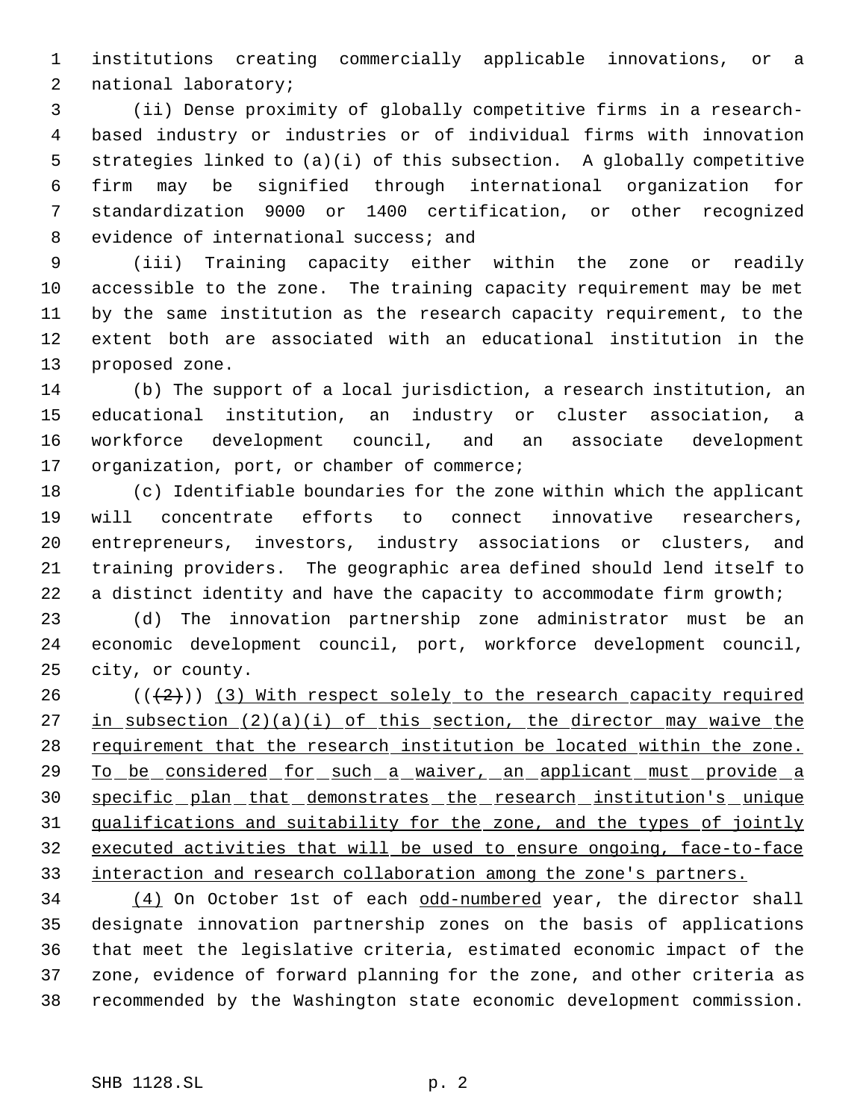institutions creating commercially applicable innovations, or a national laboratory;

 (ii) Dense proximity of globally competitive firms in a research- based industry or industries or of individual firms with innovation strategies linked to (a)(i) of this subsection. A globally competitive firm may be signified through international organization for standardization 9000 or 1400 certification, or other recognized 8 evidence of international success; and

 (iii) Training capacity either within the zone or readily accessible to the zone. The training capacity requirement may be met by the same institution as the research capacity requirement, to the extent both are associated with an educational institution in the proposed zone.

 (b) The support of a local jurisdiction, a research institution, an educational institution, an industry or cluster association, a workforce development council, and an associate development 17 organization, port, or chamber of commerce;

 (c) Identifiable boundaries for the zone within which the applicant will concentrate efforts to connect innovative researchers, entrepreneurs, investors, industry associations or clusters, and training providers. The geographic area defined should lend itself to 22 a distinct identity and have the capacity to accommodate firm growth;

 (d) The innovation partnership zone administrator must be an economic development council, port, workforce development council, city, or county.

26  $((+2))$  (3) With respect solely to the research capacity required 27 in subsection (2)(a)(i) of this section, the director may waive the 28 requirement that the research institution be located within the zone. 29 To be considered for such a waiver, an applicant must provide a specific plan that demonstrates the research institution's unique qualifications and suitability for the zone, and the types of jointly executed activities that will be used to ensure ongoing, face-to-face 33 interaction and research collaboration among the zone's partners.

34 (4) On October 1st of each odd-numbered year, the director shall designate innovation partnership zones on the basis of applications that meet the legislative criteria, estimated economic impact of the zone, evidence of forward planning for the zone, and other criteria as recommended by the Washington state economic development commission.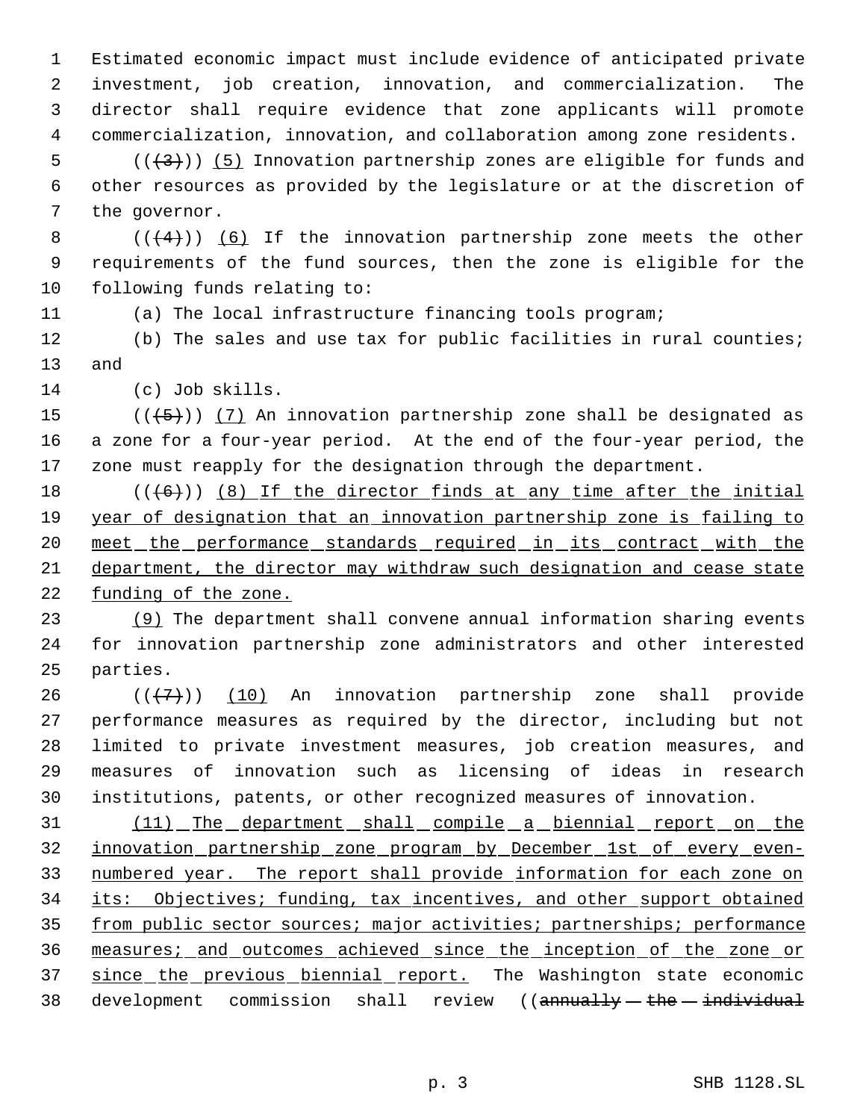Estimated economic impact must include evidence of anticipated private investment, job creation, innovation, and commercialization. The director shall require evidence that zone applicants will promote commercialization, innovation, and collaboration among zone residents.

5  $((+3))$  (5) Innovation partnership zones are eligible for funds and other resources as provided by the legislature or at the discretion of the governor.

8  $((+4))$  (6) If the innovation partnership zone meets the other requirements of the fund sources, then the zone is eligible for the following funds relating to:

(a) The local infrastructure financing tools program;

 (b) The sales and use tax for public facilities in rural counties; and

(c) Job skills.

15  $((+5))$   $(7)$  An innovation partnership zone shall be designated as a zone for a four-year period. At the end of the four-year period, the zone must reapply for the designation through the department.

18  $((+6))$   $(8)$  If the director finds at any time after the initial 19 year of designation that an innovation partnership zone is failing to 20 meet the performance standards required in its contract with the department, the director may withdraw such designation and cease state 22 funding of the zone.

 (9) The department shall convene annual information sharing events for innovation partnership zone administrators and other interested parties.

 $((+7))$   $(10)$  An innovation partnership zone shall provide performance measures as required by the director, including but not limited to private investment measures, job creation measures, and measures of innovation such as licensing of ideas in research institutions, patents, or other recognized measures of innovation.

31 (11) The department shall compile a biennial report on the innovation partnership zone program by December 1st of every even- numbered year. The report shall provide information for each zone on 34 its: Objectives; funding, tax incentives, and other support obtained 35 from public sector sources; major activities; partnerships; performance measures; and outcomes achieved since the inception of the zone or 37 since the previous biennial report. The Washington state economic 38 development commission shall review ((annually the individual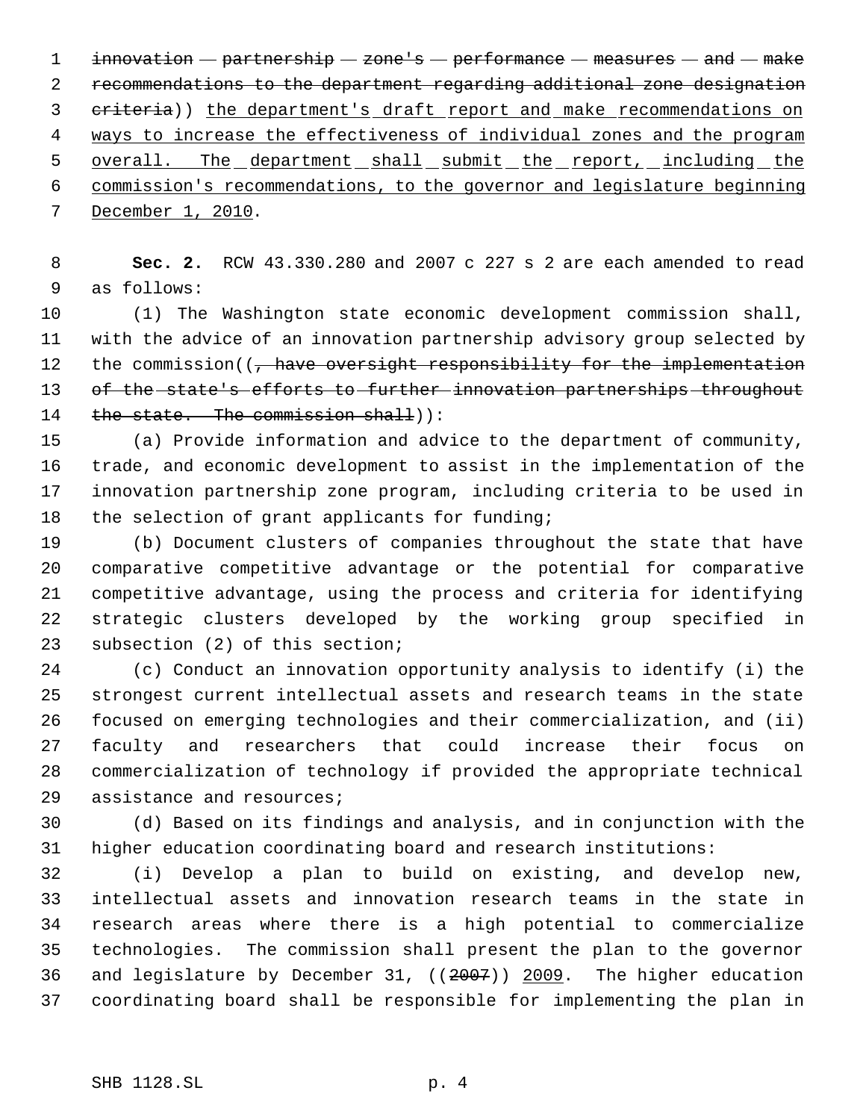1 innovation  $-$  partnership  $-$  zone's  $-$  performance  $-$  measures  $-$  and  $-$  make recommendations to the department regarding additional zone designation 3 eriteria)) the department's draft report and make recommendations on ways to increase the effectiveness of individual zones and the program 5 overall. The department shall submit the report, including the commission's recommendations, to the governor and legislature beginning December 1, 2010.

 **Sec. 2.** RCW 43.330.280 and 2007 c 227 s 2 are each amended to read as follows:

 (1) The Washington state economic development commission shall, with the advice of an innovation partnership advisory group selected by 12 the commission((, have oversight responsibility for the implementation of the state's efforts to further innovation partnerships throughout 14 the state. The commission shall)):

 (a) Provide information and advice to the department of community, trade, and economic development to assist in the implementation of the innovation partnership zone program, including criteria to be used in 18 the selection of grant applicants for funding;

 (b) Document clusters of companies throughout the state that have comparative competitive advantage or the potential for comparative competitive advantage, using the process and criteria for identifying strategic clusters developed by the working group specified in subsection (2) of this section;

 (c) Conduct an innovation opportunity analysis to identify (i) the strongest current intellectual assets and research teams in the state focused on emerging technologies and their commercialization, and (ii) faculty and researchers that could increase their focus on commercialization of technology if provided the appropriate technical assistance and resources;

 (d) Based on its findings and analysis, and in conjunction with the higher education coordinating board and research institutions:

 (i) Develop a plan to build on existing, and develop new, intellectual assets and innovation research teams in the state in research areas where there is a high potential to commercialize technologies. The commission shall present the plan to the governor and legislature by December 31, ((2007)) 2009. The higher education coordinating board shall be responsible for implementing the plan in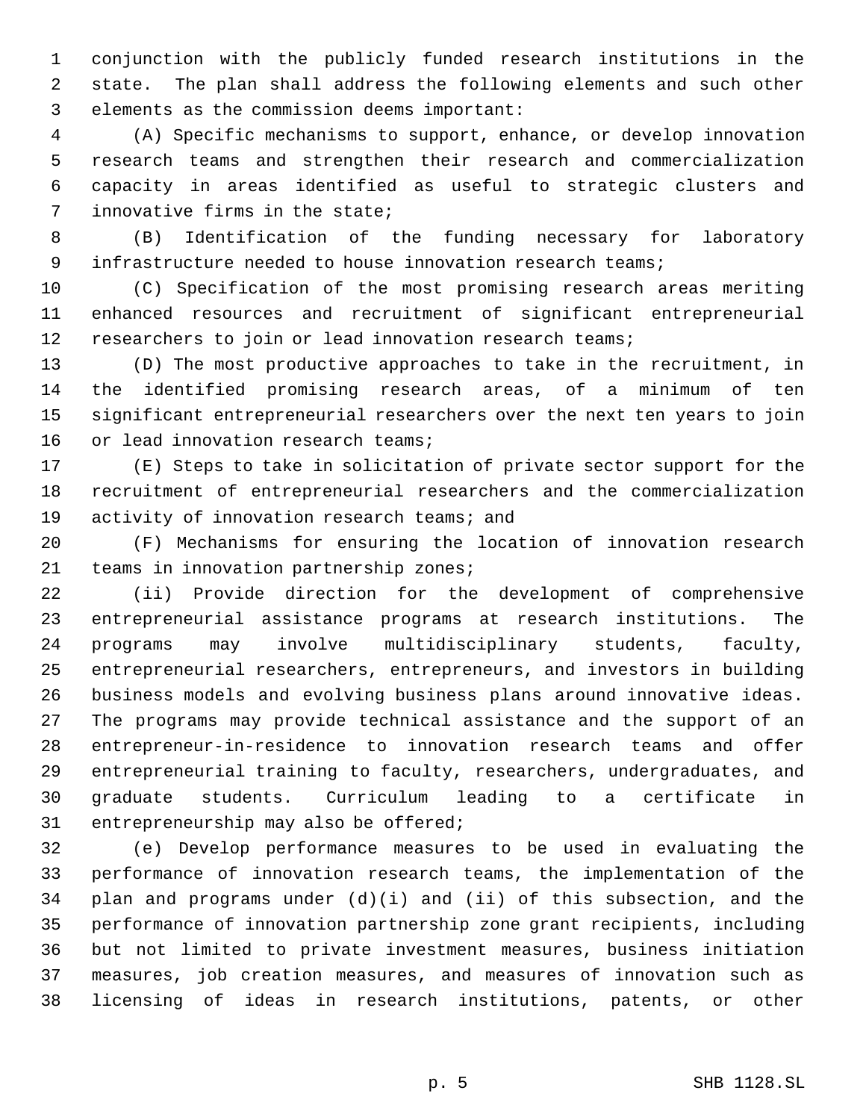conjunction with the publicly funded research institutions in the state. The plan shall address the following elements and such other elements as the commission deems important:

 (A) Specific mechanisms to support, enhance, or develop innovation research teams and strengthen their research and commercialization capacity in areas identified as useful to strategic clusters and innovative firms in the state;

 (B) Identification of the funding necessary for laboratory infrastructure needed to house innovation research teams;

 (C) Specification of the most promising research areas meriting enhanced resources and recruitment of significant entrepreneurial researchers to join or lead innovation research teams;

 (D) The most productive approaches to take in the recruitment, in the identified promising research areas, of a minimum of ten significant entrepreneurial researchers over the next ten years to join 16 or lead innovation research teams;

 (E) Steps to take in solicitation of private sector support for the recruitment of entrepreneurial researchers and the commercialization 19 activity of innovation research teams; and

 (F) Mechanisms for ensuring the location of innovation research teams in innovation partnership zones;

 (ii) Provide direction for the development of comprehensive entrepreneurial assistance programs at research institutions. The programs may involve multidisciplinary students, faculty, entrepreneurial researchers, entrepreneurs, and investors in building business models and evolving business plans around innovative ideas. The programs may provide technical assistance and the support of an entrepreneur-in-residence to innovation research teams and offer entrepreneurial training to faculty, researchers, undergraduates, and graduate students. Curriculum leading to a certificate in entrepreneurship may also be offered;

 (e) Develop performance measures to be used in evaluating the performance of innovation research teams, the implementation of the plan and programs under (d)(i) and (ii) of this subsection, and the performance of innovation partnership zone grant recipients, including but not limited to private investment measures, business initiation measures, job creation measures, and measures of innovation such as licensing of ideas in research institutions, patents, or other